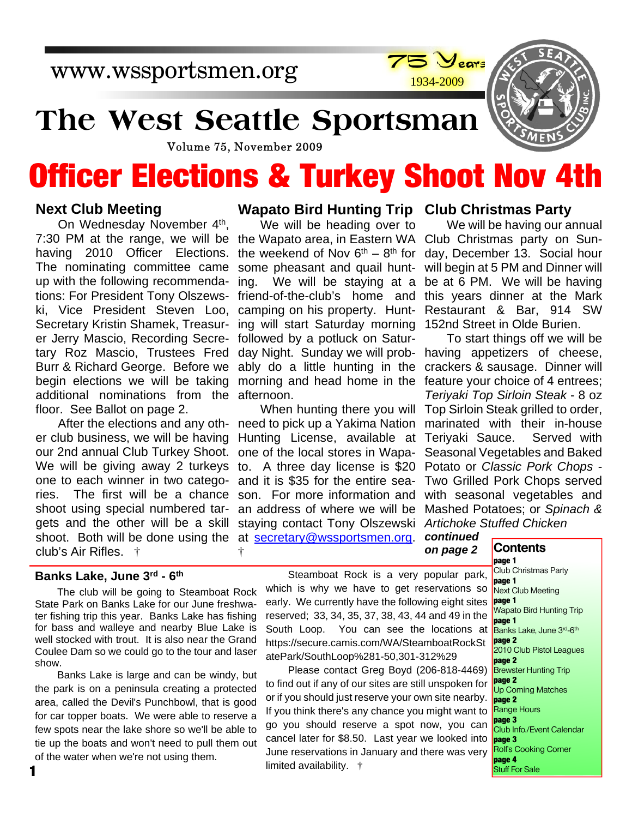www.wssportsmen.org



## **The West Seattle Sportsman**

Volume 75, November 2009

# **Officer Elections & Turkey Shoot Nov 4th**

#### **Next Club Meeting**

7:30 PM at the range, we will be the Wapato area, in Eastern WA Club Christmas party on Sun-On Wednesday November 4<sup>th</sup>, having 2010 Officer Elections. The nominating committee came up with the following recommendations: For President Tony Olszewski, Vice President Steven Loo, Secretary Kristin Shamek, Treasurer Jerry Mascio, Recording Secretary Roz Mascio, Trustees Fred Burr & Richard George. Before we begin elections we will be taking additional nominations from the floor. See Ballot on page 2.

We will be giving away 2 turkeys to. A three day license is \$20 shoot. Both will be done using the at **secretary@wssportsmen.org**. After the elections and any other club business, we will be having our 2nd annual Club Turkey Shoot. one to each winner in two categories. The first will be a chance shoot using special numbered targets and the other will be a skill club's Air Rifles. †

#### **Wapato Bird Hunting Trip Club Christmas Party**

We will be heading over to the weekend of Nov  $6<sup>th</sup> - 8<sup>th</sup>$  for day, December 13. Social hour some pheasant and quail hunt-will begin at 5 PM and Dinner will ing. We will be staying at a be at 6 PM. We will be having friend-of-the-club's home and this years dinner at the Mark camping on his property. Hunt-Restaurant & Bar, 914 SW ing will start Saturday morning 152nd Street in Olde Burien. followed by a potluck on Saturday Night. Sunday we will probably do a little hunting in the morning and head home in the afternoon.

need to pick up a Yakima Nation Hunting License, available at one of the local stores in Wapaand it is \$35 for the entire season. For more information and an address of where we will be staying contact Tony Olszewski *Artichoke Stuffed Chicken* †

We will be having our annual

When hunting there you will Top Sirloin Steak grilled to order, To start things off we will be having appetizers of cheese, crackers & sausage. Dinner will feature your choice of 4 entrees; *Teriyaki Top Sirloin Steak* - 8 oz marinated with their in-house Teriyaki Sauce. Served with Seasonal Vegetables and Baked Potato or *Classic Pork Chops* - Two Grilled Pork Chops served with seasonal vegetables and Mashed Potatoes; or *Spinach &*

> *continued on page 2*

#### **Contents**

**page 1** Club Christmas Party **page 1** Next Club Meeting **page 1** Wapato Bird Hunting Trip **page 1** Banks Lake, June 3rd-6th **page 2** 2010 Club Pistol Leagues **page 2 Brewster Hunting Trip page 2** Up Coming Matches **page 2** Range Hours **page 3** Club Info./Event Calendar **page 3** Rolf's Cooking Corner **page 4** Stuff For Sale

#### **Banks Lake, June 3rd - 6th**

The club will be going to Steamboat Rock State Park on Banks Lake for our June freshwater fishing trip this year. Banks Lake has fishing for bass and walleye and nearby Blue Lake is well stocked with trout. It is also near the Grand Coulee Dam so we could go to the tour and laser show.

Banks Lake is large and can be windy, but the park is on a peninsula creating a protected area, called the Devil's Punchbowl, that is good for car topper boats. We were able to reserve a few spots near the lake shore so we'll be able to tie up the boats and won't need to pull them out of the water when we're not using them.

Steamboat Rock is a very popular park, which is why we have to get reservations so early. We currently have the following eight sites reserved; 33, 34, 35, 37, 38, 43, 44 and 49 in the South Loop. You can see the locations at https://secure.camis.com/WA/SteamboatRockSt atePark/SouthLoop%281-50,301-312%29

Please contact Greg Boyd (206-818-4469) to find out if any of our sites are still unspoken for or if you should just reserve your own site nearby. If you think there's any chance you might want to go you should reserve a spot now, you can cancel later for \$8.50. Last year we looked into June reservations in January and there was very limited availability. †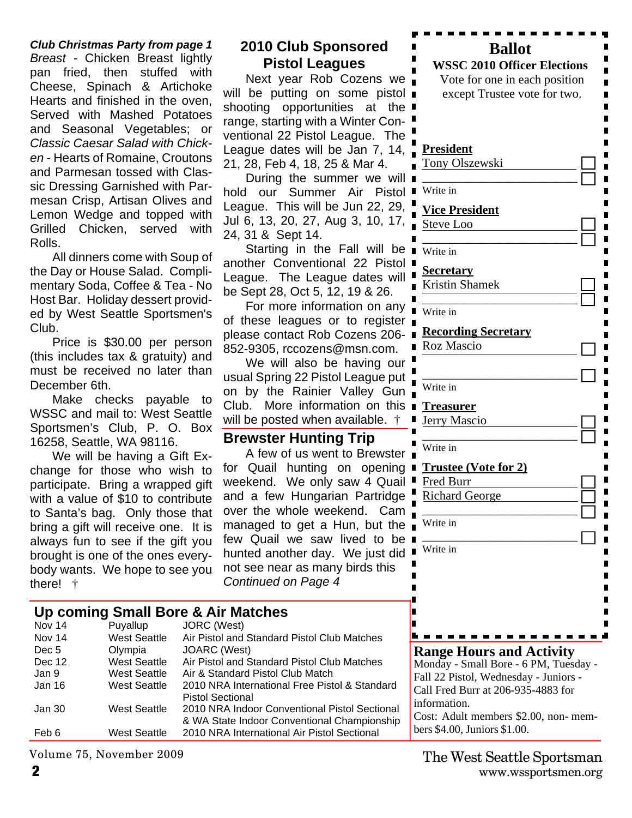*Club Christmas Party from page 1 Breast -* Chicken Breast lightly pan fried, then stuffed with Cheese, Spinach & Artichoke Hearts and finished in the oven, Served with Mashed Potatoes and Seasonal Vegetables; or *Classic Caesar Salad with Chicken* - Hearts of Romaine, Croutons and Parmesan tossed with Classic Dressing Garnished with Parmesan Crisp, Artisan Olives and Lemon Wedge and topped with Grilled Chicken, served with Rolls.

All dinners come with Soup of the Day or House Salad. Complimentary Soda, Coffee & Tea - No Host Bar. Holiday dessert provided by West Seattle Sportsmen's Club.

Price is \$30.00 per person (this includes tax & gratuity) and must be received no later than December 6th.

Make checks payable to WSSC and mail to: West Seattle Sportsmen's Club, P. O. Box 16258, Seattle, WA 98116.

We will be having a Gift Exchange for those who wish to participate. Bring a wrapped gift with a value of \$10 to contribute to Santa's bag. Only those that bring a gift will receive one. It is always fun to see if the gift you brought is one of the ones everybody wants. We hope to see you there! †

### **2010 Club Sponsored Pistol Leagues**

Next year Rob Cozens we will be putting on some pistol shooting opportunities at the range, starting with a Winter Conventional 22 Pistol League. The League dates will be Jan 7, 14, 21, 28, Feb 4, 18, 25 & Mar 4.

During the summer we will hold our Summer Air Pistol League. This will be Jun 22, 29, Jul 6, 13, 20, 27, Aug 3, 10, 17, 24, 31 & Sept 14.

Starting in the Fall will be another Conventional 22 Pistol League. The League dates will be Sept 28, Oct 5, 12, 19 & 26.

For more information on any of these leagues or to register please contact Rob Cozens 206- 852-9305, rccozens@msn.com.

We will also be having our usual Spring 22 Pistol League put on by the Rainier Valley Gun Club. More information on this will be posted when available.  $\dagger$ 

#### **Brewster Hunting Trip**

A few of us went to Brewster for Quail hunting on opening weekend. We only saw 4 Quail and a few Hungarian Partridge over the whole weekend. Cam managed to get a Hun, but the few Quail we saw lived to be hunted another day. We just did not see near as many birds this *Continued on Page 4*

#### **Up coming Small Bore & Air Matches**

| Nov 14           | Puyallup            | JORC (West)                                   |
|------------------|---------------------|-----------------------------------------------|
| <b>Nov 14</b>    | <b>West Seattle</b> | Air Pistol and Standard Pistol Club Matches   |
| Dec <sub>5</sub> | Olympia             | JOARC (West)                                  |
| Dec 12           | <b>West Seattle</b> | Air Pistol and Standard Pistol Club Matches   |
| Jan 9            | <b>West Seattle</b> | Air & Standard Pistol Club Match              |
| Jan 16           | <b>West Seattle</b> | 2010 NRA International Free Pistol & Standard |
|                  |                     | <b>Pistol Sectional</b>                       |
| Jan 30           | <b>West Seattle</b> | 2010 NRA Indoor Conventional Pistol Sectional |
|                  |                     | & WA State Indoor Conventional Championship   |
| Feb 6            | <b>West Seattle</b> | 2010 NRA International Air Pistol Sectional   |

Volume 75, November 2009

| <b>Ballot</b><br><b>WSSC 2010 Officer Elections</b><br>Vote for one in each position                                                                    |  |  |
|---------------------------------------------------------------------------------------------------------------------------------------------------------|--|--|
| except Trustee vote for two.                                                                                                                            |  |  |
|                                                                                                                                                         |  |  |
| <b>President</b><br>Tony Olszewski                                                                                                                      |  |  |
| Write in                                                                                                                                                |  |  |
| <b>Vice President</b>                                                                                                                                   |  |  |
| Steve Loo                                                                                                                                               |  |  |
| Write in                                                                                                                                                |  |  |
|                                                                                                                                                         |  |  |
| <u>Secretary</u><br><b>Kristin Shamek</b>                                                                                                               |  |  |
|                                                                                                                                                         |  |  |
| Write in<br>П                                                                                                                                           |  |  |
| <b>Recording Secretary</b>                                                                                                                              |  |  |
| Roz Mascio                                                                                                                                              |  |  |
|                                                                                                                                                         |  |  |
| Write in                                                                                                                                                |  |  |
| <b>Treasurer</b>                                                                                                                                        |  |  |
| Jerry Mascio<br>П                                                                                                                                       |  |  |
| Write in                                                                                                                                                |  |  |
| Ш<br><b>Trustee (Vote for 2)</b><br>П                                                                                                                   |  |  |
| Fred Burr                                                                                                                                               |  |  |
| Richard George                                                                                                                                          |  |  |
| Write in                                                                                                                                                |  |  |
|                                                                                                                                                         |  |  |
| Write in<br>П<br>П                                                                                                                                      |  |  |
|                                                                                                                                                         |  |  |
|                                                                                                                                                         |  |  |
|                                                                                                                                                         |  |  |
|                                                                                                                                                         |  |  |
| <b>Range Hours and Activity</b><br>Monday - Small Bore - 6 PM, Tuesday -<br>Fall 22 Pistol, Wednesday - Juniors -<br>Call Fred Burr at 206-935-4883 for |  |  |

**2** www.wssportsmen.org The West Seattle Sportsman

Cost: Adult members \$2.00, non- mem-

information.

bers \$4.00, Juniors \$1.00.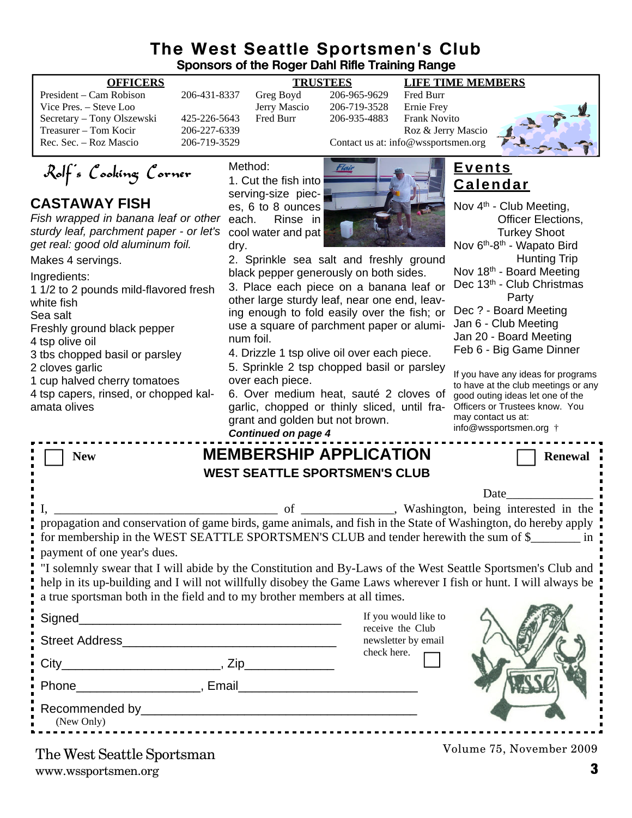#### **The West Seattle Sportsmen's Club Sponsors of the Roger Dahl Rifle Training Range**

| President – Cam Robison    |
|----------------------------|
| Vice Pres. – Steve Loo     |
| Secretary – Tony Olszewski |
| Treasurer – Tom Kocir      |
| Rec. Sec. – Roz Mascio     |
|                            |

# Jerry Mascio<br>Fred Burr

#### **OFFICERS TRUSTEES LIFE TIME MEMBERS**

206-431-8337 Greg Boyd 206-965-9629 Fred Burr<br>Jerry Mascio 206-719-3528 Ernie Frev 425-226-5643 Fred Burr 206-935-4883 Frank Novito Treasurer – Tom Contact us at: info@wsportsmen.org<br>206-719-3529 Contact us at: info@wsportsmen.org Contact us at: info@wssportsmen.org



Rolf's Cooking Corner

### **CASTAWAY FISH**

*Fish wrapped in banana leaf or other sturdy leaf, parchment paper - or let's get real: good old aluminum foil.*

Makes 4 servings.

Ingredients:

1 1/2 to 2 pounds mild-flavored fresh white fish

Sea salt

Freshly ground black pepper

4 tsp olive oil

3 tbs chopped basil or parsley

2 cloves garlic

1 cup halved cherry tomatoes

4 tsp capers, rinsed, or chopped kalamata olives

Method: 1. Cut the fish into serving-size pieces, 6 to 8 ounces each. Rinse in cool water and pat dry.



2. Sprinkle sea salt and freshly ground black pepper generously on both sides.

3. Place each piece on a banana leaf or  $\Gamma$ other large sturdy leaf, near one end, leav-

ing enough to fold easily over the fish; or  $<sup>[</sup>]$ </sup> use a square of parchment paper or aluminum foil.

4. Drizzle 1 tsp olive oil over each piece.

5. Sprinkle 2 tsp chopped basil or parsley over each piece.

6. Over medium heat, sauté 2 cloves of garlic, chopped or thinly sliced, until fragrant and golden but not brown.

*Continued on page 4*

| <b>Events</b>   |  |
|-----------------|--|
| <b>Calendar</b> |  |

| Nov 4 <sup>th</sup> - Club Meeting,                |
|----------------------------------------------------|
| <b>Officer Elections,</b>                          |
| <b>Turkey Shoot</b>                                |
| Nov 6 <sup>th</sup> -8 <sup>th</sup> - Wapato Bird |
| <b>Hunting Trip</b>                                |
| Nov 18 <sup>th</sup> - Board Meeting               |
| Dec 13th - Club Christmas                          |
| Party                                              |
| Dec ? - Board Meeting                              |
| Jan 6 - Club Meeting                               |
| Jan 20 - Board Meeting                             |
| Feb 6 - Big Game Dinner                            |
|                                                    |

If you have any ideas for programs to have at the club meetings or any good outing ideas let one of the Officers or Trustees know. You may contact us at: info@wssportsmen.org †

\_ \_ \_ \_ \_ \_ \_ \_ \_ \_ \_ \_ \_ \_ \_ \_

| <b>New</b>                                                                                                                                                                                                                                                                                                                                    | <b>MEMBERSHIP APPLICATION</b><br><b>Renewal</b> |  |  |  |
|-----------------------------------------------------------------------------------------------------------------------------------------------------------------------------------------------------------------------------------------------------------------------------------------------------------------------------------------------|-------------------------------------------------|--|--|--|
| <b>WEST SEATTLE SPORTSMEN'S CLUB</b>                                                                                                                                                                                                                                                                                                          |                                                 |  |  |  |
|                                                                                                                                                                                                                                                                                                                                               | Date                                            |  |  |  |
| propagation and conservation of game birds, game animals, and fish in the State of Washington, do hereby apply<br>for membership in the WEST SEATTLE SPORTSMEN'S CLUB and tender herewith the sum of \$                                                                                                                                       |                                                 |  |  |  |
| payment of one year's dues.<br>"I solemnly swear that I will abide by the Constitution and By-Laws of the West Seattle Sportsmen's Club and<br>help in its up-building and I will not willfully disobey the Game Laws wherever I fish or hunt. I will always be<br>a true sportsman both in the field and to my brother members at all times. |                                                 |  |  |  |
|                                                                                                                                                                                                                                                                                                                                               | If you would like to<br>receive the Club        |  |  |  |
| Street Address No. 1996. The Street Address No. 1997.                                                                                                                                                                                                                                                                                         | newsletter by email                             |  |  |  |
|                                                                                                                                                                                                                                                                                                                                               | check here.                                     |  |  |  |
| Phone Renail Renail Phone Renail Renail Phone Renail Renail Renail Renail Renail Renail Renail Renail Renail Renail Renail Renail Renail Renail Renail Renail Renail Renail Renail Renail Renail Renail Renail Renail Renail R                                                                                                                |                                                 |  |  |  |
| (New Only)                                                                                                                                                                                                                                                                                                                                    |                                                 |  |  |  |
| The West Seattle Sportsman                                                                                                                                                                                                                                                                                                                    | Volume 75, November 2009                        |  |  |  |

www.wssportsmen.org **3** The West Seattle Sportsman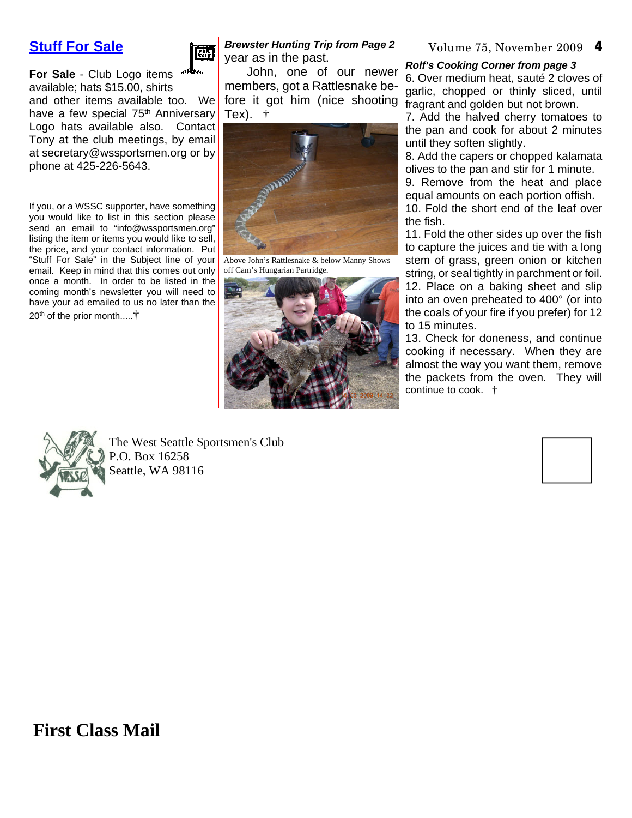### **Stuff For Sale**



**For Sale** - Club Logo items available; hats \$15.00, shirts and other items available too. We have a few special 75<sup>th</sup> Anniversary Logo hats available also. Contact Tony at the club meetings, by email at secretary@wssportsmen.org or by phone at 425-226-5643.

If you, or a WSSC supporter, have something you would like to list in this section please send an email to "info@wssportsmen.org" listing the item or items you would like to sell, the price, and your contact information. Put "Stuff For Sale" in the Subject line of your email. Keep in mind that this comes out only once a month. In order to be listed in the coming month's newsletter you will need to have your ad emailed to us no later than the  $20<sup>th</sup>$  of the prior month.....<sup>†</sup>

#### *Brewster Hunting Trip from Page 2* year as in the past.

fore it got him (nice shooting fragrant and golden but not brown. John, one of our newer members, got a Rattlesnake be-Tex). †



Above John's Rattlesnake & below Manny Shows off Cam's Hungarian Partridge.



#### Volume 75, November 2009 4

#### *Rolf's Cooking Corner from page 3*

6. Over medium heat, sauté 2 cloves of garlic, chopped or thinly sliced, until

7. Add the halved cherry tomatoes to the pan and cook for about 2 minutes until they soften slightly.

8. Add the capers or chopped kalamata olives to the pan and stir for 1 minute.

9. Remove from the heat and place equal amounts on each portion offish.

10. Fold the short end of the leaf over the fish.

11. Fold the other sides up over the fish to capture the juices and tie with a long stem of grass, green onion or kitchen string, or seal tightly in parchment or foil. 12. Place on a baking sheet and slip into an oven preheated to 400° (or into the coals of your fire if you prefer) for 12 to 15 minutes.

13. Check for doneness, and continue cooking if necessary. When they are almost the way you want them, remove the packets from the oven. They will continue to cook. †



The West Seattle Sportsmen's Club P.O. Box 16258 Seattle, WA 98116



## **First Class Mail**